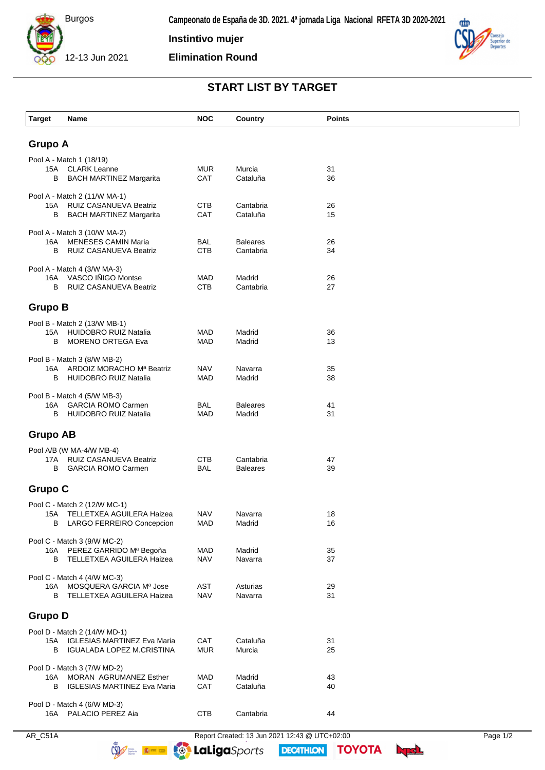

**Instintivo mujer**

**Elimination Round**



## **START LIST BY TARGET**

| <b>Target</b>                                                                         | Name                                                         | <b>NOC</b>               | Country                   | <b>Points</b> |  |  |  |
|---------------------------------------------------------------------------------------|--------------------------------------------------------------|--------------------------|---------------------------|---------------|--|--|--|
|                                                                                       |                                                              |                          |                           |               |  |  |  |
| <b>Grupo A</b>                                                                        |                                                              |                          |                           |               |  |  |  |
|                                                                                       | Pool A - Match 1 (18/19)                                     | <b>MUR</b>               | Murcia                    | 31            |  |  |  |
| В                                                                                     | 15A CLARK Leanne<br><b>BACH MARTINEZ Margarita</b>           | CAT                      | Cataluña                  | 36            |  |  |  |
| Pool A - Match 2 (11/W MA-1)                                                          |                                                              |                          |                           |               |  |  |  |
| 15A                                                                                   | RUIZ CASANUEVA Beatriz                                       | <b>CTB</b>               | Cantabria                 | 26            |  |  |  |
| в                                                                                     | <b>BACH MARTINEZ Margarita</b>                               | CAT                      | Cataluña                  | 15            |  |  |  |
| 16A                                                                                   | Pool A - Match 3 (10/W MA-2)<br><b>MENESES CAMIN Maria</b>   | BAL                      | <b>Baleares</b>           | 26            |  |  |  |
| В                                                                                     | RUIZ CASANUEVA Beatriz                                       | <b>CTB</b>               | Cantabria                 | 34            |  |  |  |
| Pool A - Match 4 (3/W MA-3)                                                           |                                                              |                          |                           |               |  |  |  |
| 16A                                                                                   | VASCO IÑIGO Montse                                           | <b>MAD</b>               | Madrid                    | 26            |  |  |  |
| B                                                                                     | <b>RUIZ CASANUEVA Beatriz</b>                                | <b>CTB</b>               | Cantabria                 | 27            |  |  |  |
| <b>Grupo B</b>                                                                        |                                                              |                          |                           |               |  |  |  |
|                                                                                       | Pool B - Match 2 (13/W MB-1)                                 |                          |                           |               |  |  |  |
| 15A<br>В                                                                              | HUIDOBRO RUIZ Natalia<br><b>MORENO ORTEGA Eva</b>            | <b>MAD</b><br>MAD        | Madrid<br>Madrid          | 36<br>13      |  |  |  |
| Pool B - Match 3 (8/W MB-2)                                                           |                                                              |                          |                           |               |  |  |  |
| 16A                                                                                   | ARDOIZ MORACHO Mª Beatriz                                    | <b>NAV</b>               | Navarra                   | 35            |  |  |  |
| В                                                                                     | HUIDOBRO RUIZ Natalia                                        | MAD                      | Madrid                    | 38            |  |  |  |
|                                                                                       | Pool B - Match 4 (5/W MB-3)                                  |                          |                           |               |  |  |  |
| 16A<br>В                                                                              | <b>GARCIA ROMO Carmen</b><br>HUIDOBRO RUIZ Natalia           | BAL<br><b>MAD</b>        | <b>Baleares</b><br>Madrid | 41<br>31      |  |  |  |
|                                                                                       |                                                              |                          |                           |               |  |  |  |
| <b>Grupo AB</b>                                                                       |                                                              |                          |                           |               |  |  |  |
|                                                                                       | Pool A/B (W MA-4/W MB-4)<br>17A RUIZ CASANUEVA Beatriz       | <b>CTB</b>               | Cantabria                 | 47            |  |  |  |
| В                                                                                     | <b>GARCIA ROMO Carmen</b>                                    | <b>BAL</b>               | <b>Baleares</b>           | 39            |  |  |  |
| <b>Grupo C</b>                                                                        |                                                              |                          |                           |               |  |  |  |
| Pool C - Match 2 (12/W MC-1)                                                          |                                                              |                          |                           |               |  |  |  |
|                                                                                       | 15A TELLETXEA AGUILERA Haizea                                | <b>NAV</b><br><b>MAD</b> | Navarra<br>Madrid         | 18<br>16      |  |  |  |
| В                                                                                     | LARGO FERREIRO Concepcion                                    |                          |                           |               |  |  |  |
|                                                                                       | Pool C - Match 3 (9/W MC-2)<br>16A PEREZ GARRIDO Mª Begoña   | MAD                      | Madrid                    | 35            |  |  |  |
|                                                                                       | <b>B</b> TELLETXEA AGUILERA Haizea                           | <b>NAV</b>               | Navarra                   | 37            |  |  |  |
| Pool C - Match 4 (4/W MC-3)                                                           |                                                              |                          |                           |               |  |  |  |
| 16A<br>в                                                                              | MOSQUERA GARCIA Mª Jose<br>TELLETXEA AGUILERA Haizea         | AST<br><b>NAV</b>        | Asturias<br>Navarra       | 29<br>31      |  |  |  |
|                                                                                       |                                                              |                          |                           |               |  |  |  |
| <b>Grupo D</b>                                                                        |                                                              |                          |                           |               |  |  |  |
|                                                                                       | Pool D - Match 2 (14/W MD-1)                                 |                          | Cataluña                  |               |  |  |  |
| B                                                                                     | 15A IGLESIAS MARTINEZ Eva Maria<br>IGUALADA LOPEZ M.CRISTINA | CAT<br><b>MUR</b>        | Murcia                    | 31<br>25      |  |  |  |
| Pool D - Match 3 (7/W MD-2)                                                           |                                                              |                          |                           |               |  |  |  |
| 16A                                                                                   | MORAN AGRUMANEZ Esther                                       | <b>MAD</b>               | Madrid                    | 43            |  |  |  |
| B                                                                                     | <b>IGLESIAS MARTINEZ Eva Maria</b>                           | CAT                      | Cataluña                  | 40            |  |  |  |
| Pool D - Match 4 (6/W MD-3)<br>16A PALACIO PEREZ Aia<br><b>CTB</b><br>Cantabria<br>44 |                                                              |                          |                           |               |  |  |  |
|                                                                                       |                                                              |                          |                           |               |  |  |  |

**DECATHION** 

**TOYOTA** byd